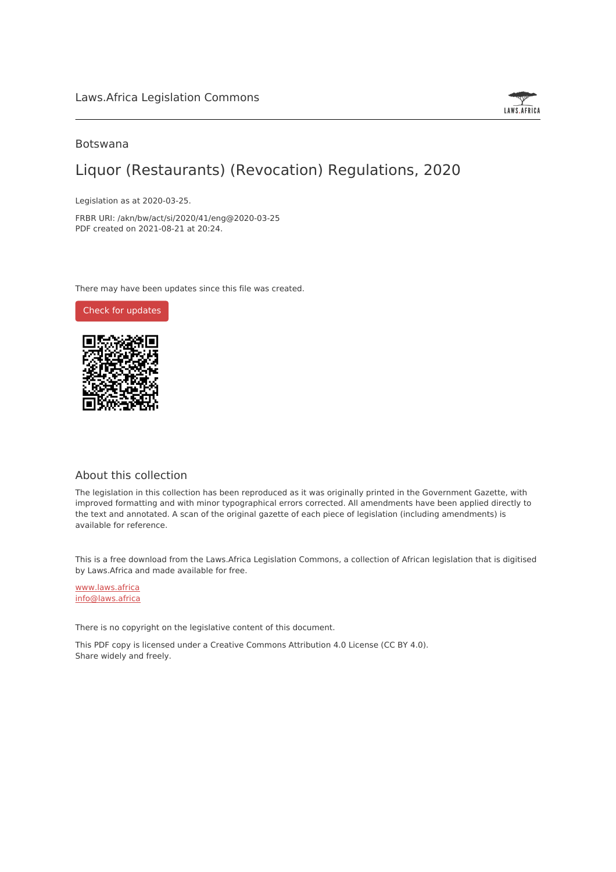

#### Botswana

## Liquor (Restaurants) (Revocation) Regulations, 2020

Legislation as at 2020-03-25.

FRBR URI: /akn/bw/act/si/2020/41/eng@2020-03-25 PDF created on 2021-08-21 at 20:24.

There may have been updates since this file was created.

Check for [updates](https://commons.laws.africa/akn/bw/act/si/2020/41/eng@2020-03-25?ts=2021-08-21T20:24:04.133503+00:00)



#### About this collection

The legislation in this collection has been reproduced as it was originally printed in the Government Gazette, with improved formatting and with minor typographical errors corrected. All amendments have been applied directly to the text and annotated. A scan of the original gazette of each piece of legislation (including amendments) is available for reference.

This is a free download from the Laws.Africa Legislation Commons, a collection of African legislation that is digitised by Laws.Africa and made available for free.

[www.laws.africa](https://www.laws.africa) [info@laws.africa](mailto:info@laws.africa)

There is no copyright on the legislative content of this document.

This PDF copy is licensed under a Creative Commons Attribution 4.0 License (CC BY 4.0). Share widely and freely.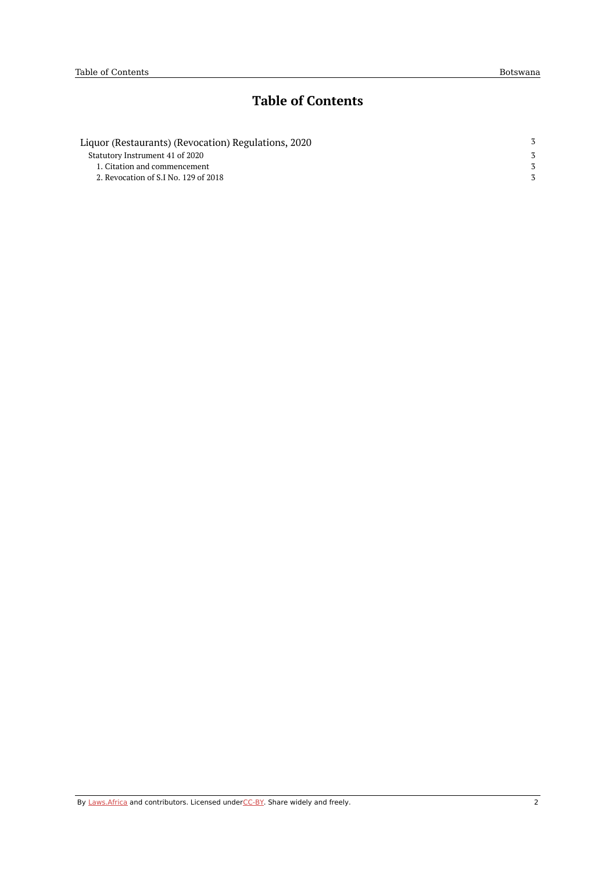## **Table of Contents**

| Liquor (Restaurants) (Revocation) Regulations, 2020 |  |
|-----------------------------------------------------|--|
| Statutory Instrument 41 of 2020                     |  |
| 1. Citation and commencement                        |  |
| 2. Revocation of S.I No. 129 of 2018                |  |